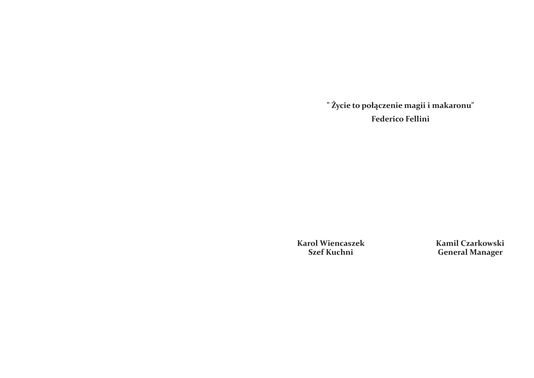**Kamil Czarkowski General Manager**

**Karol Wiencaszek Szef Kuchni**

**" Życie to połączenie magii i makaronu" Federico Fellini**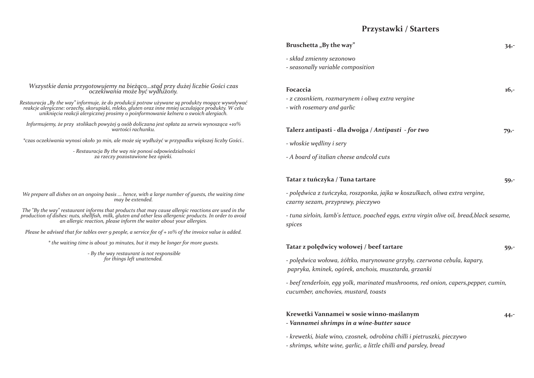*Wszystkie dania przygotowujemy na bieżąco...stąd przy dużej liczbie Gości czas oczekiwania może być wydłużony.*

*Restauracja "By the way" informuje, że do produkcji potraw używane są produkty mogące wywoływać reakcje alergiczne: orzechy, skorupiaki, mleko, gluten oraz inne mniej uczulające produkty. W celu uniknięcia reakcji alergicznej prosimy o poinformowanie kelnera o swoich alergiach.*

*Informujemy, że przy stolikach powyżej 9 osób doliczana jest opłata za serwis wynosząca +10% wartości rachunku.*

*\*czas oczekiwania wynosi około 30 min, ale może się wydłużyć w przypadku większej liczby Gości..*

 *- Restauracja By the way nie ponosi odpowiedzialności za rzeczy pozostawione bez opieki.*

*We prepare all dishes on an ongoing basis ... hence, with a large number of guests, the waiting time may be extended.*

*The "By the way" restaurant informs that products that may cause allergic reactions are used in the production of dishes: nuts, shellfish, milk, gluten and other less allergenic products. In order to avoid an allergic reaction, please inform the waiter about your allergies.*

*Please be advised that for tables over 9 people, a service fee of + 10% of the invoice value is added.*

*\* the waiting time is about 30 minutes, but it may be longer for more guests.*

 *- By the way restaurant is not responsible for things left unattended.*

## **Przystawki / Starters**

## **Bruschetta** "By the way" 34,-

- *skład zmienny sezonowo*
- *seasonally variable composition*

**Focaccia 16,-**

- *z czosnkiem, rozmarynem i oliwą extra vergine*
- *with rosemary and garlic*

## **Talerz antipasti - dla dwojga /** *Antipasti - for two* **79,-**

- *włoskie wędliny i sery*
- *A board of italian cheese andcold cuts*

## **Tatar z tuńczyka / Tuna tartare 59,-**

*- polędwica z tuńczyka, roszponka, jajka w koszulkach, oliwa extra vergine, czarny sezam, przyprawy, pieczywo*

*- tuna sirloin, lamb's lettuce, poached eggs, extra virgin olive oil, bread,black sesame, spices*

## **Tatar z polędwicy wołowej / beef tartare 59,-**

*- polędwica wołowa, żółtko, marynowane grzyby, czerwona cebula, kapary, papryka, kminek, ogórek, anchois, musztarda, grzanki*

*- beef tenderloin, egg yolk, marinated mushrooms, red onion, capers,pepper, cumin, cucumber, anchovies, mustard, toasts*

# **Krewetki Vannamei w sosie winno-maślanym 44,-**

- *Vannamei shrimps in a wine-butter sauce*
- *krewetki, białe wino, czosnek, odrobina chilli i pietruszki, pieczywo*
- *shrimps, white wine, garlic, a little chilli and parsley, bread*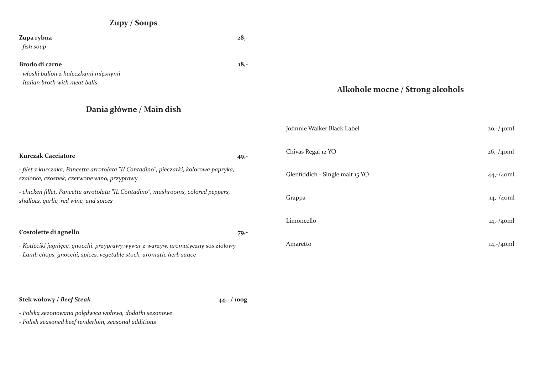## **Zupy / Soups**

# **Zupa rybna 28,-** *- fish soup* **Brodo di carne 18,-** *- włoski bulion z kuleczkami mięsnymi - Italian broth with meat balls* **Dania główne / Main dish Kurczak Cacciatore** 49,-*- filet z kurczaka, Pancetta arrotolata "II Contadino", pieczarki, kolorowa papryka, szalotka, czosnek, czerwone wino, przyprawy - chicken fillet, Pancetta arrotolata "IL Contadino", mushrooms, colored peppers, shallots, garlic, red wine, and spices* **Costolette di agnello 79,-** *- Kotleciki jagnięce, gnocchi, przyprawy,wywar z warzyw, aromatyczny sos ziołowy - Lamb chops, gnocchi, spices, vegetable stock, aromatic herb sauce* **Stek wołowy /** *Beef Steak* **44,- / 100g** Johnnie Walker Black Label 20,-/40ml Chivas Regal 12 YO 26,-/40ml Glenfiddich - Single malt 15 YO 44,-/40ml Grappa 14,-/40ml Limoncello 14,-/40ml Amaretto 14,-/40ml

*- Polska sezonowana polędwica wołowa, dodatki sezonowe*

*- Polish seasoned beef tenderloin, seasonal additions*

## **Alkohole mocne / Strong alcohols**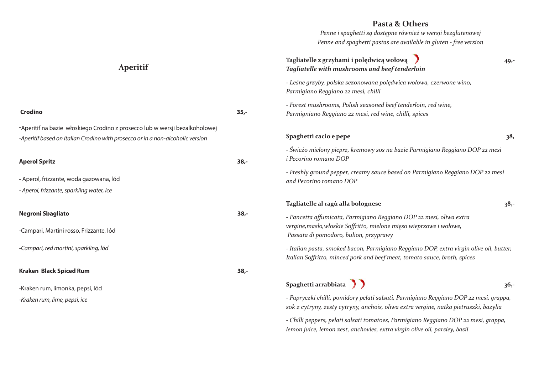*- Papryczki chilli, pomidory pelati salsati, Parmigiano Reggiano DOP 22 mesi, grappa, sok z cytryny, zesty cytryny, anchois, oliwa extra vergine, natka pietruszki, bazylia*

*- Chilli peppers, pelati salsati tomatoes, Parmigiano Reggiano DOP 22 mesi, grappa, lemon juice, lemon zest, anchovies, extra virgin olive oil, parsley, basil*

## **Pasta & Others**

*Penne i spaghetti są dostępne również w wersji bezglutenowej Penne and spaghetti pastas are available in gluten - free version*

# **Tagliatelle z grzybami i polędwicą wołową 49,-** *Tagliatelle with mushrooms and beef tenderloin - Leśne grzyby, polska sezonowana polędwica wołowa, czerwone wino, Parmigiano Reggiano 22 mesi, chilli - Forest mushrooms, Polish seasoned beef tenderloin, red wine, Parmigniano Reggiano 22 mesi, red wine, chilli, spices* **Spaghetti cacio e pepe** 38, *- Świeżo mielony pieprz, kremowy sos na bazie Parmigiano Reggiano DOP 22 mesi i Pecorino romano DOP - Freshly ground pepper, creamy sauce based on Parmigiano Reggiano DOP 22 mesi and Pecorino romano DOP* **Tagliatelle al ragù alla bolognese 38,-** *- Pancetta affumicata, Parmigiano Reggiano DOP 22 mesi, oliwa extra vergine,masło,włoskie Soffritto, mielone mięso wieprzowe i wołowe, Passata di pomodoro, bulion, przyprawy - Italian pasta, smoked bacon, Parmigiano Reggiano DOP, extra virgin olive oil, butter, Italian Soffritto, minced pork and beef meat, tomato sauce, broth, spices* Spaghetti arrabbiata **36,-**

| <b>Crodino</b>                                                                                                                                                | $35 -$ |
|---------------------------------------------------------------------------------------------------------------------------------------------------------------|--------|
| -Aperitif na bazie włoskiego Crodino z prosecco lub w wersji bezalkoholowej<br>-Aperitif based on Italian Crodino with prosecco or in a non-alcoholic version |        |
| <b>Aperol Spritz</b>                                                                                                                                          | $38 -$ |
| - Aperol, frizzante, woda gazowana, lód                                                                                                                       |        |
| - Aperol, frizzante, sparkling water, ice                                                                                                                     |        |
| <b>Negroni Sbagliato</b>                                                                                                                                      | $38 -$ |
| -Campari, Martini rosso, Frizzante, lód                                                                                                                       |        |
| -Campari, red martini, sparkling, lód                                                                                                                         |        |
| <b>Kraken Black Spiced Rum</b>                                                                                                                                | $38,-$ |
| -Kraken rum, limonka, pepsi, lód                                                                                                                              |        |
| -Kraken rum, lime, pepsi, ice                                                                                                                                 |        |



## **Aperitif**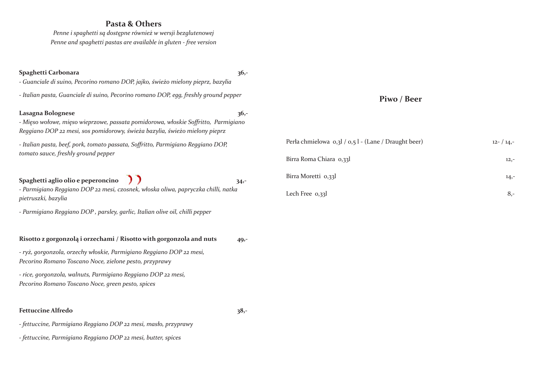*Penne i spaghetti są dostępne również w wersji bezglutenowej Penne and spaghetti pastas are available in gluten - free version*

| Spaghetti Carbonara<br>- Guanciale di suino, Pecorino romano DOP, jajko, świeżo mielony pieprz, bazylia                                                                                | $36 -$  |                                                      |            |
|----------------------------------------------------------------------------------------------------------------------------------------------------------------------------------------|---------|------------------------------------------------------|------------|
| - Italian pasta, Guanciale di suino, Pecorino romano DOP, egg, freshly ground pepper                                                                                                   |         | Piwo / Beer                                          |            |
| Lasagna Bolognese<br>- Mięso wołowe, mięso wieprzowe, passata pomidorowa, włoskie Soffritto, Parmigiano<br>Reggiano DOP 22 mesi, sos pomidorowy, świeża bazylia, świeżo mielony pieprz | $36 -$  |                                                      |            |
| - Italian pasta, beef, pork, tomato passata, Soffritto, Parmigiano Reggiano DOP,                                                                                                       |         | Perła chmielowa 0,3l / 0,5 l - (Lane / Draught beer) | $12 - 14,$ |
| tomato sauce, freshly ground pepper                                                                                                                                                    |         | Birra Roma Chiara 0,331                              | $12, -$    |
| Spaghetti aglio olio e peperoncino $\int$                                                                                                                                              | $34 -$  | Birra Moretti 0,33l                                  | $14, -$    |
| - Parmigiano Reggiano DOP 22 mesi, czosnek, włoska oliwa, papryczka chilli, natka<br>pietruszki, bazylia                                                                               |         | Lech Free 0,33l                                      | 8,         |
| - Parmigiano Reggiano DOP, parsley, garlic, Italian olive oil, chilli pepper                                                                                                           |         |                                                      |            |
| Risotto z gorgonzolą i orzechami / Risotto with gorgonzola and nuts                                                                                                                    | $49, -$ |                                                      |            |
| - ryż, gorgonzola, orzechy włoskie, Parmigiano Reggiano DOP 22 mesi,<br>Pecorino Romano Toscano Noce, zielone pesto, przyprawy                                                         |         |                                                      |            |
| - rice, gorgonzola, walnuts, Parmigiano Reggiano DOP 22 mesi,<br>Pecorino Romano Toscano Noce, green pesto, spices                                                                     |         |                                                      |            |
| <b>Fettuccine Alfredo</b>                                                                                                                                                              | $38,-$  |                                                      |            |
| - fettuccine, Parmigiano Reggiano DOP 22 mesi, masło, przyprawy                                                                                                                        |         |                                                      |            |
| - fettuccine, Parmigiano Reggiano DOP 22 mesi, butter, spices                                                                                                                          |         |                                                      |            |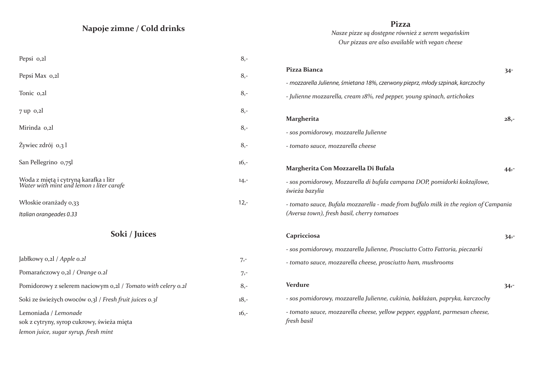| Pizza Bianca                                                                                                                        | $34 -$ |
|-------------------------------------------------------------------------------------------------------------------------------------|--------|
| - mozzarella Julienne, śmietana 18%, czerwony pieprz, młody szpinak, karczochy                                                      |        |
| - Julienne mozzarella, cream 18%, red pepper, young spinach, artichokes                                                             |        |
| <b>Margherita</b>                                                                                                                   | $28,-$ |
| - sos pomidorowy, mozzarella Julienne                                                                                               |        |
| - tomato sauce, mozzarella cheese                                                                                                   |        |
| Margherita Con Mozzarella Di Bufala                                                                                                 | 44,-   |
| - sos pomidorowy, Mozzarella di bufala campana DOP, pomidorki koktajlowe,<br>świeża bazylia                                         |        |
| - tomato sauce, Bufala mozzarella - made from buffalo milk in the region of Campania<br>(Aversa town), fresh basil, cherry tomatoes |        |
| Capricciosa                                                                                                                         | $34 -$ |
| - sos pomidorowy, mozzarella Julienne, Prosciutto Cotto Fattoria, pieczarki                                                         |        |
| - tomato sauce, mozzarella cheese, prosciutto ham, mushrooms                                                                        |        |
| <b>Verdure</b>                                                                                                                      | $34 -$ |
| - sos pomidorowy, mozzarella Julienne, cukinia, bakłażan, papryka, karczochy                                                        |        |
| - tomato sauce, mozzarella cheese, yellow pepper, eggplant, parmesan cheese,<br>fresh basil                                         |        |

| Pepsi 0,2l                                                                        | $8, -$  |
|-----------------------------------------------------------------------------------|---------|
| Pepsi Max 0,2l                                                                    | $8, -$  |
| Tonic o, 2l                                                                       | $8, -$  |
| $7$ up $0,2$                                                                      | $8, -$  |
| Mirinda o,2l                                                                      | $8, -$  |
| Żywiec zdrój 0,3 l                                                                | $8, -$  |
| San Pellegrino 0,75l                                                              | $16, -$ |
| Woda z miętą i cytryną karafka i litr<br>Water with mint and lemon i liter carafe | $14, -$ |
| Włoskie oranżady 0,33<br>Italian orangeades 0.33                                  | $12 -$  |

**Pizza**

*Nasze pizze są dostępne również z serem wegańskim Our pizzas are also available with vegan cheese*

## **Napoje zimne / Cold drinks**

| $7, -$  |
|---------|
| $7, -$  |
| $8 -$   |
| $18, -$ |
| $16, -$ |
|         |

## **Soki / Juices**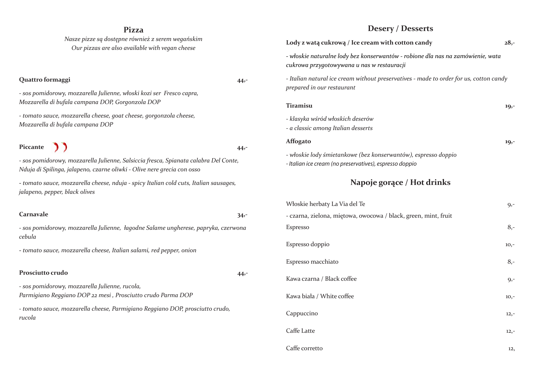## **Pizza**

*Nasze pizze są dostępne również z serem wegańskim Our pizzas are also available with vegan cheese*

## **Quattro formaggi 44,-**

*- sos pomidorowy, mozzarella Julienne, włoski kozi ser Fresco capra, Mozzarella di bufala campana DOP, Gorgonzola DOP*

Piccante **1 1 14,-***- sos pomidorowy, mozzarella Julienne, Salsiccia fresca, Spianata calabra Del Conte, Nduja di Spilinga, jalapeno, czarne oliwki - Olive nere grecia con osso*

*- tomato sauce, mozzarella cheese, goat cheese, gorgonzola cheese, Mozzarella di bufala campana DOP*

| Włoskie herbaty La Via del Te                                   | $9, -$ |
|-----------------------------------------------------------------|--------|
| - czarna, zielona, miętowa, owocowa / black, green, mint, fruit |        |
| Espresso                                                        | $8, -$ |
| Espresso doppio                                                 | $10,-$ |
| Espresso macchiato                                              | $8, -$ |
| Kawa czarna / Black coffee                                      | $9, -$ |
| Kawa biała / White coffee                                       | $10,-$ |
| Cappuccino                                                      | $12,-$ |
| Caffe Latte                                                     | $12,-$ |
| Caffe corretto                                                  | 12,    |
|                                                                 |        |

**-** *tomato sauce, mozzarella cheese, nduja - spicy Italian cold cuts, Italian sausages, jalapeno, pepper, black olives*

### **Carnavale 34,-**

*- sos pomidorowy, mozzarella Julienne, łagodne Salame ungherese, papryka, czerwona cebula*

**-** *tomato sauce, mozzarella cheese, Italian salami, red pepper, onion*

### Prosciutto crudo **44,-**

*- sos pomidorowy, mozzarella Julienne, rucola, Parmigiano Reggiano DOP 22 mesi , Prosciutto crudo Parma DOP - tomato sauce, mozzarella cheese, Parmigiano Reggiano DOP, prosciutto crudo, rucola*

| Włoskie herbaty La Via del Te                                   | $9, -$ |
|-----------------------------------------------------------------|--------|
| - czarna, zielona, miętowa, owocowa / black, green, mint, fruit |        |
| Espresso                                                        | $8, -$ |
| Espresso doppio                                                 | $10,-$ |
| Espresso macchiato                                              | $8,-$  |
| Kawa czarna / Black coffee                                      | $9, -$ |
| Kawa biała / White coffee                                       | $10,-$ |
| Cappuccino                                                      | $12,-$ |
| Caffe Latte                                                     | $12,-$ |
| Caffe corretto                                                  | 12,    |

## **Napoje gorące / Hot drinks**

**Lody z watą cukrową / Ice cream with cotton candy 28,-**

*- włoskie naturalne lody bez konserwantów - robione dla nas na zamówienie, wata cukrowa przygotowywana u nas w restauracji*

*- Italian natural ice cream without preservatives - made to order for us, cotton candy prepared in our restaurant*

### **Tiramisu 19,-**

- *klasyka wśród włoskich deserów*
- *a classic among Italian desserts*

**Affogato 19,-**

- *włoskie lody śmietankowe (bez konserwantów), espresso doppio*
- *Italian ice cream (no preservatives), espresso doppio*

## **Desery / Desserts**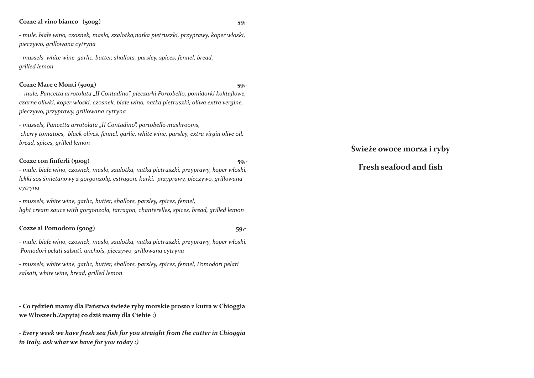**Świeże owoce morza i ryby**

## **Fresh seafood and fish**

### **Cozze al vino bianco (500g) 59,-**

*- mule, białe wino, czosnek, masło, szalotka,natka pietruszki, przyprawy, koper włoski, pieczywo, grillowana cytryna*

*- mussels, white wine, garlic, butter, shallots, parsley, spices, fennel, bread, grilled lemon*

## **Cozze Mare e Monti (500g) 59,-**

*- mule, Pancetta arrotolata "II Contadino", pieczarki Portobello, pomidorki koktajlowe, czarne oliwki, koper włoski, czosnek, białe wino, natka pietruszki, oliwa extra vergine, pieczywo, przyprawy, grillowana cytryna*

*- mussels, Pancetta arrotolata "II Contadino", portobello mushrooms, cherry tomatoes, black olives, fennel, garlic, white wine, parsley, extra virgin olive oil, bread, spices, grilled lemon*

## **Cozze con finferli (500g)** 59,-

*- mule, białe wino, czosnek, masło, szalotka, natka pietruszki, przyprawy, koper włoski, lekki sos śmietanowy z gorgonzolą, estragon, kurki, przyprawy, pieczywo, grillowana cytryna*

*- mussels, white wine, garlic, butter, shallots, parsley, spices, fennel, light cream sauce with gorgonzola, tarragon, chanterelles, spices, bread, grilled lemon*

## **Cozze al Pomodoro (500g) 59,-**

*- mule, białe wino, czosnek, masło, szalotka, natka pietruszki, przyprawy, koper włoski, Pomodori pelati salsati, anchois, pieczywo, grillowana cytryna* 

*- mussels, white wine, garlic, butter, shallots, parsley, spices, fennel, Pomodori pelati salsati, white wine, bread, grilled lemon*

**- Co tydzień mamy dla Państwa świeże ryby morskie prosto z kutra w Chioggia we Włoszech.Zapytaj co dziś mamy dla Ciebie :)**

*- Every week we have fresh sea fish for you straight from the cutter in Chioggia in Italy, ask what we have for you today :)*